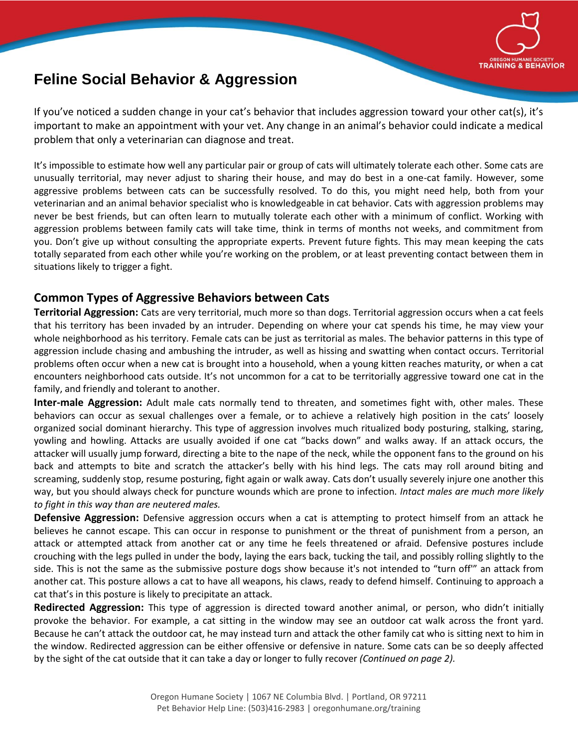

# **Feline Social Behavior & Aggression**

If you've noticed a sudden change in your cat's behavior that includes aggression toward your other cat(s), it's important to make an appointment with your vet. Any change in an animal's behavior could indicate a medical problem that only a veterinarian can diagnose and treat.

It's impossible to estimate how well any particular pair or group of cats will ultimately tolerate each other. Some cats are unusually territorial, may never adjust to sharing their house, and may do best in a one-cat family. However, some aggressive problems between cats can be successfully resolved. To do this, you might need help, both from your veterinarian and an animal behavior specialist who is knowledgeable in cat behavior. Cats with aggression problems may never be best friends, but can often learn to mutually tolerate each other with a minimum of conflict. Working with aggression problems between family cats will take time, think in terms of months not weeks, and commitment from you. Don't give up without consulting the appropriate experts. Prevent future fights. This may mean keeping the cats totally separated from each other while you're working on the problem, or at least preventing contact between them in situations likely to trigger a fight.

# **Common Types of Aggressive Behaviors between Cats**

**Territorial Aggression:** Cats are very territorial, much more so than dogs. Territorial aggression occurs when a cat feels that his territory has been invaded by an intruder. Depending on where your cat spends his time, he may view your whole neighborhood as his territory. Female cats can be just as territorial as males. The behavior patterns in this type of aggression include chasing and ambushing the intruder, as well as hissing and swatting when contact occurs. Territorial problems often occur when a new cat is brought into a household, when a young kitten reaches maturity, or when a cat encounters neighborhood cats outside. It's not uncommon for a cat to be territorially aggressive toward one cat in the family, and friendly and tolerant to another.

**Inter-male Aggression:** Adult male cats normally tend to threaten, and sometimes fight with, other males. These behaviors can occur as sexual challenges over a female, or to achieve a relatively high position in the cats' loosely organized social dominant hierarchy. This type of aggression involves much ritualized body posturing, stalking, staring, yowling and howling. Attacks are usually avoided if one cat "backs down" and walks away. If an attack occurs, the attacker will usually jump forward, directing a bite to the nape of the neck, while the opponent fans to the ground on his back and attempts to bite and scratch the attacker's belly with his hind legs. The cats may roll around biting and screaming, suddenly stop, resume posturing, fight again or walk away. Cats don't usually severely injure one another this way, but you should always check for puncture wounds which are prone to infection*. Intact males are much more likely to fight in this way than are neutered males.* 

**Defensive Aggression:** Defensive aggression occurs when a cat is attempting to protect himself from an attack he believes he cannot escape. This can occur in response to punishment or the threat of punishment from a person, an attack or attempted attack from another cat or any time he feels threatened or afraid. Defensive postures include crouching with the legs pulled in under the body, laying the ears back, tucking the tail, and possibly rolling slightly to the side. This is not the same as the submissive posture dogs show because it's not intended to "turn off'" an attack from another cat. This posture allows a cat to have all weapons, his claws, ready to defend himself. Continuing to approach a cat that's in this posture is likely to precipitate an attack.

**Redirected Aggression:** This type of aggression is directed toward another animal, or person, who didn't initially provoke the behavior. For example, a cat sitting in the window may see an outdoor cat walk across the front yard. Because he can't attack the outdoor cat, he may instead turn and attack the other family cat who is sitting next to him in the window. Redirected aggression can be either offensive or defensive in nature. Some cats can be so deeply affected by the sight of the cat outside that it can take a day or longer to fully recover *(Continued on page 2).*